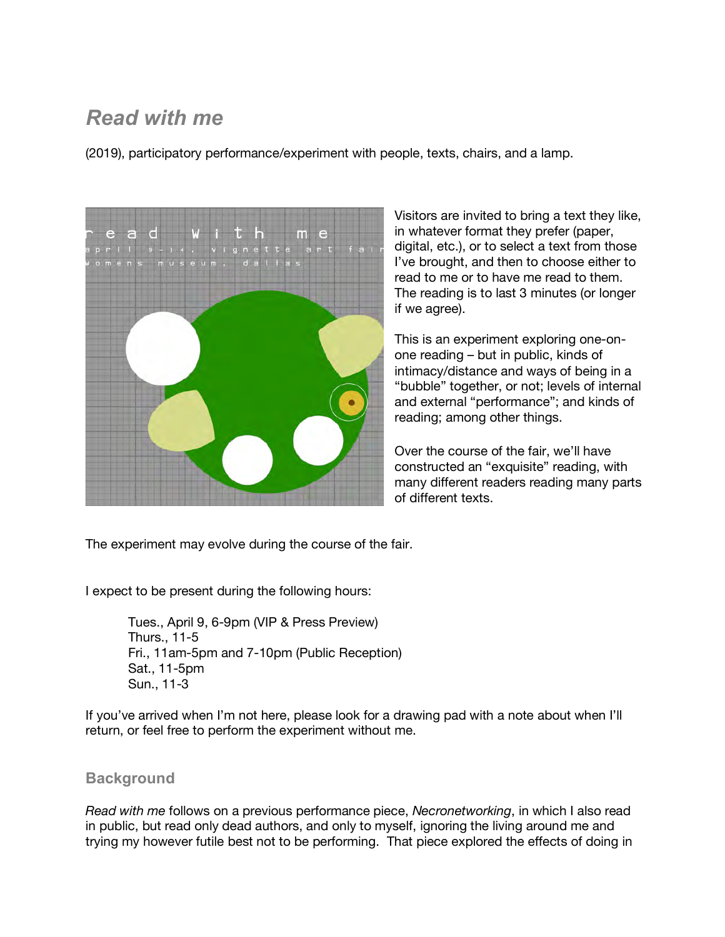## *Read with me*

(2019), participatory performance/experiment with people, texts, chairs, and a lamp.



Visitors are invited to bring a text they like, in whatever format they prefer (paper, digital, etc.), or to select a text from those I've brought, and then to choose either to read to me or to have me read to them. The reading is to last 3 minutes (or longer if we agree).

This is an experiment exploring one-onone reading – but in public, kinds of intimacy/distance and ways of being in a "bubble" together, or not; levels of internal and external "performance"; and kinds of reading; among other things.

Over the course of the fair, we'll have constructed an "exquisite" reading, with many different readers reading many parts of different texts.

The experiment may evolve during the course of the fair.

I expect to be present during the following hours:

Tues., April 9, 6-9pm (VIP & Press Preview) Thurs., 11-5 Fri., 11am-5pm and 7-10pm (Public Reception) Sat., 11-5pm Sun., 11-3

If you've arrived when I'm not here, please look for a drawing pad with a note about when I'll return, or feel free to perform the experiment without me.

## **Background**

*Read with me* follows on a previous performance piece, *Necronetworking*, in which I also read in public, but read only dead authors, and only to myself, ignoring the living around me and trying my however futile best not to be performing. That piece explored the effects of doing in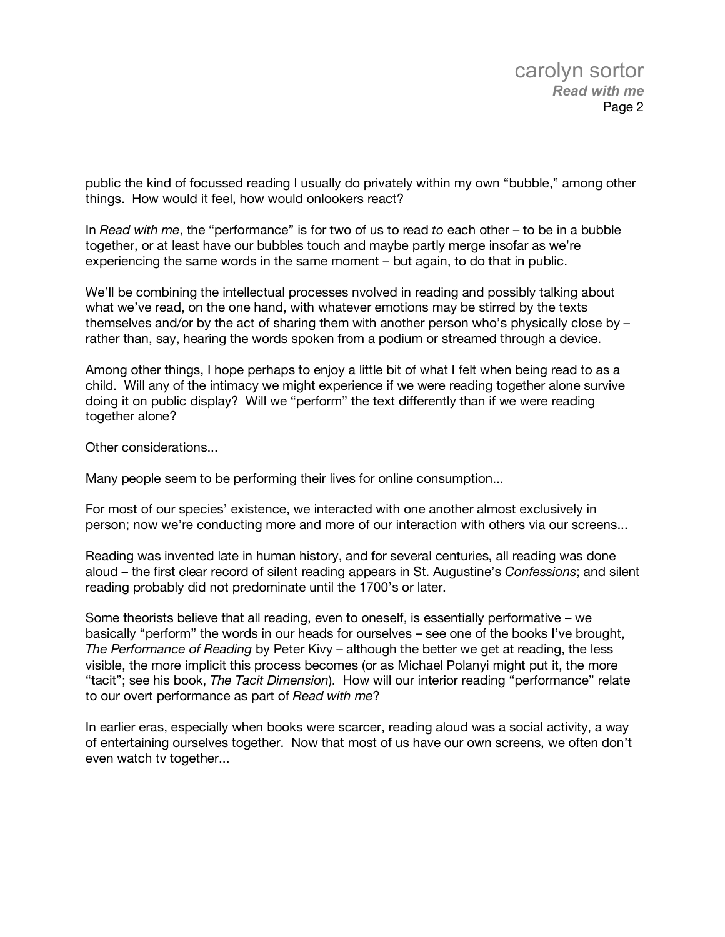public the kind of focussed reading I usually do privately within my own "bubble," among other things. How would it feel, how would onlookers react?

In *Read with me*, the "performance" is for two of us to read *to* each other – to be in a bubble together, or at least have our bubbles touch and maybe partly merge insofar as we're experiencing the same words in the same moment – but again, to do that in public.

We'll be combining the intellectual processes nvolved in reading and possibly talking about what we've read, on the one hand, with whatever emotions may be stirred by the texts themselves and/or by the act of sharing them with another person who's physically close by – rather than, say, hearing the words spoken from a podium or streamed through a device.

Among other things, I hope perhaps to enjoy a little bit of what I felt when being read to as a child. Will any of the intimacy we might experience if we were reading together alone survive doing it on public display? Will we "perform" the text differently than if we were reading together alone?

Other considerations...

Many people seem to be performing their lives for online consumption...

For most of our species' existence, we interacted with one another almost exclusively in person; now we're conducting more and more of our interaction with others via our screens...

Reading was invented late in human history, and for several centuries, all reading was done aloud – the first clear record of silent reading appears in St. Augustine's *Confessions*; and silent reading probably did not predominate until the 1700's or later.

Some theorists believe that all reading, even to oneself, is essentially performative – we basically "perform" the words in our heads for ourselves – see one of the books I've brought, *The Performance of Reading* by Peter Kivy – although the better we get at reading, the less visible, the more implicit this process becomes (or as Michael Polanyi might put it, the more "tacit"; see his book, *The Tacit Dimension*). How will our interior reading "performance" relate to our overt performance as part of *Read with me*?

In earlier eras, especially when books were scarcer, reading aloud was a social activity, a way of entertaining ourselves together. Now that most of us have our own screens, we often don't even watch tv together...